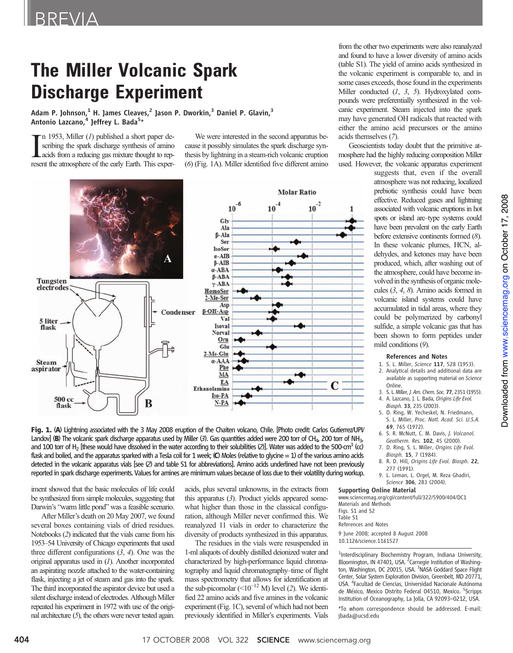# The Miller Volcanic Spark Discharge Experiment

Adam P. Johnson, $1$  H. James Cleaves, $2$  Jason P. Dworkin, $3$  Daniel P. Glavin, $3$ Antonio Lazcano,<sup>4</sup> Jeffrey L. Bada<sup>5</sup>\*

 $\prod$ n 1953, Miller (*1*) published a short paper describing the spark discharge synthesis of amino acids from a reducing gas mixture thought to represent the atmosphere of the early Earth. This expern 1953, Miller (1) published a short paper describing the spark discharge synthesis of amino acids from a reducing gas mixture thought to rep-

We were interested in the second apparatus because it possibly simulates the spark discharge synthesis by lightning in a steam-rich volcanic eruption (6) (Fig. 1A). Miller identified five different amino



Fig. 1. (A) Lightning associated with the 3 May 2008 eruption of the Chaiten volcano, Chile. [Photo credit: Carlos Gutierrez/UPI/ Landov] (B) The volcanic spark discharge apparatus used by Miller  $(3)$ . Gas quantities added were 200 torr of CH<sub>4</sub>, 200 torr of NH<sub>3</sub>, and 100 torr of H<sub>2</sub> [these would have dissolved in the water according to their solubilities (2)]. Water was added to the 500-cm<sup>3</sup> (cc) flask and boiled, and the apparatus sparked with a Tesla coil for 1 week; (C) Moles (relative to glycine = 1) of the various amino acids detected in the volcanic apparatus vials [see (2) and table S1 for abbreviations]. Amino acids underlined have not been previously reported in spark discharge experiments. Values for amines are minimum values because of loss due to their volatility during workup.

iment showed that the basic molecules of life could be synthesized from simple molecules, suggesting that Darwin's "warm little pond" was a feasible scenario.

After Miller's death on 20 May 2007, we found several boxes containing vials of dried residues. Notebooks (2) indicated that the vials came from his 1953–54 University of Chicago experiments that used three different configurations  $(3, 4)$ . One was the original apparatus used in  $(I)$ . Another incorporated an aspirating nozzle attached to the water-containing flask, injecting a jet of steam and gas into the spark. The third incorporated the aspirator device but used a silent discharge instead of electrodes. Although Miller repeated his experiment in 1972 with use of the original architecture  $(5)$ , the others were never tested again.

acids, plus several unknowns, in the extracts from this apparatus (3). Product yields appeared somewhat higher than those in the classical configuration, although Miller never confirmed this. We reanalyzed 11 vials in order to characterize the diversity of products synthesized in this apparatus.

The residues in the vials were resuspended in 1-ml aliquots of doubly distilled deionized water and characterized by high-performance liquid chromatography and liquid chromatography–time of flight mass spectrometry that allows for identification at the sub-picomolar  $(<10^{-12}$  M) level (2). We identified 22 amino acids and five amines in the volcanic experiment (Fig. 1C), several of which had not been previously identified in Miller's experiments. Vials from the other two experiments were also reanalyzed and found to have a lower diversity of amino acids (table S1). The yield of amino acids synthesized in the volcanic experiment is comparable to, and in some cases exceeds, those found in the experiments Miller conducted  $(1, 3, 5)$ . Hydroxylated compounds were preferentially synthesized in the volcanic experiment. Steam injected into the spark may have generated OH radicals that reacted with either the amino acid precursors or the amino acids themselves (7).

Geoscientists today doubt that the primitive atmosphere had the highly reducing composition Miller used. However, the volcanic apparatus experiment

suggests that, even if the overall atmosphere was not reducing, localized prebiotic synthesis could have been effective. Reduced gases and lightning associated with volcanic eruptions in hot spots or island arc–type systems could have been prevalent on the early Earth before extensive continents formed (8). In these volcanic plumes, HCN, aldehydes, and ketones may have been produced, which, after washing out of the atmosphere, could have become involved in the synthesis of organic molecules (3, 4, 8). Amino acids formed in volcanic island systems could have accumulated in tidal areas, where they could be polymerized by carbonyl sulfide, a simple volcanic gas that has been shown to form peptides under mild conditions (9).

#### References and Notes

- 1. S. L. Miller, Science 117, 528 (1953). 2. Analytical details and additional data are available as supporting material on Science
- Online. 3. S. L. Miller, J. Am. Chem. Soc. 77, 2351 (1955). 4. A. Lazcano, J. L. Bada, Origins Life Evol.
- Biosph. 33, 235 (2003). 5. D. Ring, W. Yecheskel, N. Friedmann,
- S. L. Miller, Proc. Natl. Acad. Sci. U.S.A. 69, 765 (1972).
- 6. S. R. McNutt, C. M. Davis, J. Volcanol. Geotherm. Res. 102, 45 (2000).
- 7. D. Ring, S. L. Miller, Origins Life Evol. Biosph. 15, 7 (1984).
- 8. R. D. Hill, Origins Life Evol. Biosph. 22, 277 (1991).
- 9. L. Leman, L. Orgel, M. Reza Ghadiri, Science 306, 283 (2004).

#### Supporting Online Material

www.sciencemag.org/cgi/content/full/322/5900/404/DC1 Materials and Methods Figs. S1 and S2 Table S1 References and Notes 9 June 2008; accepted 8 August 2008

10.1126/science.1161527

<sup>1</sup>Interdisciplinary Biochemistry Program, Indiana University, Bloomington, IN 47401, USA. <sup>2</sup> Carnegie Institution of Washington, Washington, DC 20015, USA. <sup>3</sup>NASA Goddard Space Flight Center, Solar System Exploration Division, Greenbelt, MD 20771, USA. <sup>4</sup> Facultad de Ciencias, Universidad Nacionale Autónoma de México, Mexico Distrito Federal 04510, Mexico. <sup>5</sup>Scripps Institution of Oceanography, La Jolla, CA 92093–0212, USA.

\*To whom correspondence should be addressed. E-mail: jbada@ucsd.edu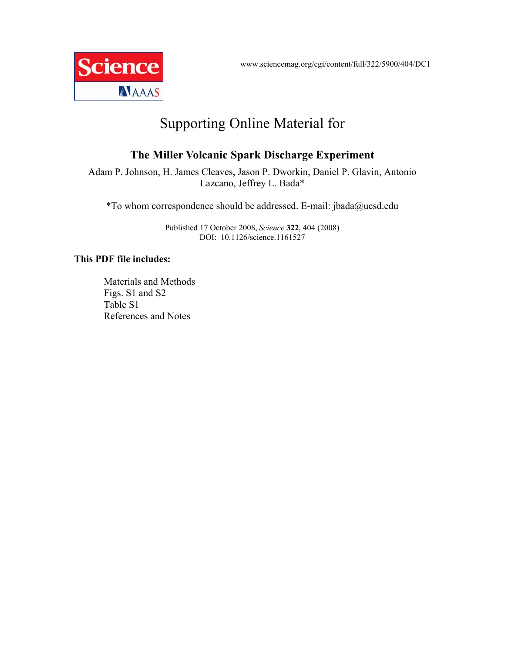www.sciencemag.org/cgi/content/full/322/5900/404/DC1



# Supporting Online Material for

## **The Miller Volcanic Spark Discharge Experiment**

Adam P. Johnson, H. James Cleaves, Jason P. Dworkin, Daniel P. Glavin, Antonio Lazcano, Jeffrey L. Bada\*

\*To whom correspondence should be addressed. E-mail: jbada@ucsd.edu

Published 17 October 2008, *Science* **322**, 404 (2008) DOI: 10.1126/science.1161527

### **This PDF file includes:**

Materials and Methods Figs. S1 and S2 Table S1 References and Notes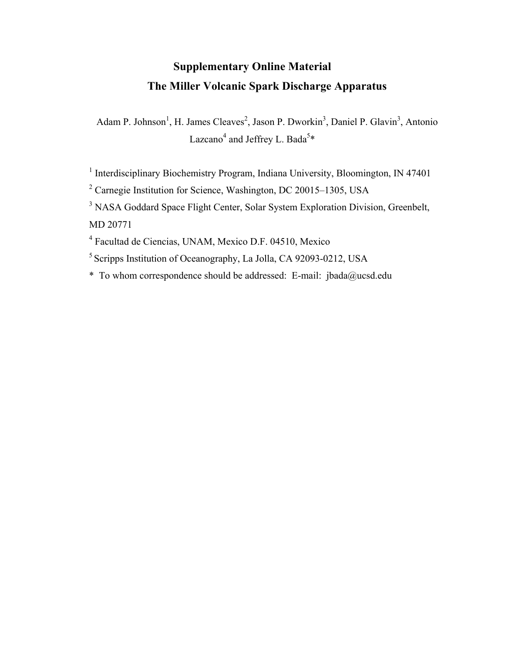## **Supplementary Online Material The Miller Volcanic Spark Discharge Apparatus**

Adam P. Johnson<sup>1</sup>, H. James Cleaves<sup>2</sup>, Jason P. Dworkin<sup>3</sup>, Daniel P. Glavin<sup>3</sup>, Antonio Lazcano<sup>4</sup> and Jeffrey L. Bada<sup>5\*</sup>

<sup>1</sup> Interdisciplinary Biochemistry Program, Indiana University, Bloomington, IN 47401

<sup>2</sup> Carnegie Institution for Science, Washington, DC 20015–1305, USA

<sup>3</sup> NASA Goddard Space Flight Center, Solar System Exploration Division, Greenbelt, MD 20771

4 Facultad de Ciencias, UNAM, Mexico D.F. 04510, Mexico

5 Scripps Institution of Oceanography, La Jolla, CA 92093-0212, USA

\* To whom correspondence should be addressed: E-mail: jbada@ucsd.edu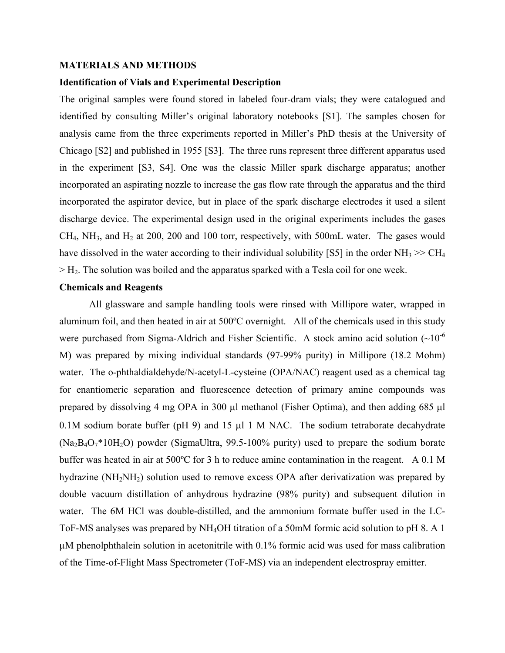#### **MATERIALS AND METHODS**

#### **Identification of Vials and Experimental Description**

The original samples were found stored in labeled four-dram vials; they were catalogued and identified by consulting Miller's original laboratory notebooks [S1]. The samples chosen for analysis came from the three experiments reported in Miller's PhD thesis at the University of Chicago [S2] and published in 1955 [S3]. The three runs represent three different apparatus used in the experiment [S3, S4]. One was the classic Miller spark discharge apparatus; another incorporated an aspirating nozzle to increase the gas flow rate through the apparatus and the third incorporated the aspirator device, but in place of the spark discharge electrodes it used a silent discharge device. The experimental design used in the original experiments includes the gases  $CH<sub>4</sub>$ , NH<sub>3</sub>, and H<sub>2</sub> at 200, 200 and 100 torr, respectively, with 500mL water. The gases would have dissolved in the water according to their individual solubility [S5] in the order  $NH_3 \gg CH_4$  $>$  H<sub>2</sub>. The solution was boiled and the apparatus sparked with a Tesla coil for one week.

### **Chemicals and Reagents**

All glassware and sample handling tools were rinsed with Millipore water, wrapped in aluminum foil, and then heated in air at 500ºC overnight. All of the chemicals used in this study were purchased from Sigma-Aldrich and Fisher Scientific. A stock amino acid solution  $(\sim 10^{-6}$ M) was prepared by mixing individual standards (97-99% purity) in Millipore (18.2 Mohm) water. The o-phthaldialdehyde/N-acetyl-L-cysteine (OPA/NAC) reagent used as a chemical tag for enantiomeric separation and fluorescence detection of primary amine compounds was prepared by dissolving 4 mg OPA in 300 µl methanol (Fisher Optima), and then adding 685 µl 0.1M sodium borate buffer (pH 9) and 15  $\mu$ 1 M NAC. The sodium tetraborate decahydrate  $(Na<sub>2</sub>B<sub>4</sub>O<sub>7</sub>*10H<sub>2</sub>O)$  powder (SigmaUltra, 99.5-100% purity) used to prepare the sodium borate buffer was heated in air at 500ºC for 3 h to reduce amine contamination in the reagent. A 0.1 M hydrazine (NH<sub>2</sub>NH<sub>2</sub>) solution used to remove excess OPA after derivatization was prepared by double vacuum distillation of anhydrous hydrazine (98% purity) and subsequent dilution in water. The 6M HCl was double-distilled, and the ammonium formate buffer used in the LC-ToF-MS analyses was prepared by NH4OH titration of a 50mM formic acid solution to pH 8. A 1 µM phenolphthalein solution in acetonitrile with 0.1% formic acid was used for mass calibration of the Time-of-Flight Mass Spectrometer (ToF-MS) via an independent electrospray emitter.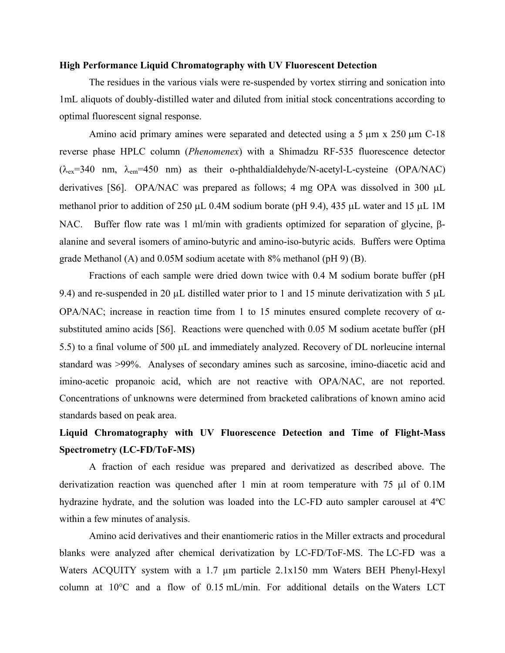#### **High Performance Liquid Chromatography with UV Fluorescent Detection**

The residues in the various vials were re-suspended by vortex stirring and sonication into 1mL aliquots of doubly-distilled water and diluted from initial stock concentrations according to optimal fluorescent signal response.

Amino acid primary amines were separated and detected using a  $5 \mu m \times 250 \mu m$  C-18 reverse phase HPLC column (*Phenomenex*) with a Shimadzu RF-535 fluorescence detector  $(\lambda_{ex}=340 \text{ nm}, \lambda_{em}=450 \text{ nm})$  as their o-phthaldialdehyde/N-acetyl-L-cysteine (OPA/NAC) derivatives [S6]. OPA/NAC was prepared as follows; 4 mg OPA was dissolved in 300  $\mu$ L methanol prior to addition of 250  $\mu$ L 0.4M sodium borate (pH 9.4), 435  $\mu$ L water and 15  $\mu$ L 1M NAC. Buffer flow rate was 1 ml/min with gradients optimized for separation of glycine,  $\beta$ alanine and several isomers of amino-butyric and amino-iso-butyric acids. Buffers were Optima grade Methanol (A) and 0.05M sodium acetate with 8% methanol (pH 9) (B).

Fractions of each sample were dried down twice with 0.4 M sodium borate buffer (pH 9.4) and re-suspended in 20  $\mu$ L distilled water prior to 1 and 15 minute derivatization with 5  $\mu$ L OPA/NAC; increase in reaction time from 1 to 15 minutes ensured complete recovery of  $\alpha$ substituted amino acids [S6]. Reactions were quenched with 0.05 M sodium acetate buffer (pH 5.5) to a final volume of 500  $\mu$ L and immediately analyzed. Recovery of DL norleucine internal standard was >99%. Analyses of secondary amines such as sarcosine, imino-diacetic acid and imino-acetic propanoic acid, which are not reactive with OPA/NAC, are not reported. Concentrations of unknowns were determined from bracketed calibrations of known amino acid standards based on peak area.

### **Liquid Chromatography with UV Fluorescence Detection and Time of Flight-Mass Spectrometry (LC-FD/ToF-MS)**

A fraction of each residue was prepared and derivatized as described above. The derivatization reaction was quenched after 1 min at room temperature with 75  $\mu$ l of 0.1M hydrazine hydrate, and the solution was loaded into the LC-FD auto sampler carousel at 4ºC within a few minutes of analysis.

Amino acid derivatives and their enantiomeric ratios in the Miller extracts and procedural blanks were analyzed after chemical derivatization by LC-FD/ToF-MS. The LC-FD was a Waters ACQUITY system with a 1.7 µm particle 2.1x150 mm Waters BEH Phenyl-Hexyl column at  $10^{\circ}$ C and a flow of 0.15 mL/min. For additional details on the Waters LCT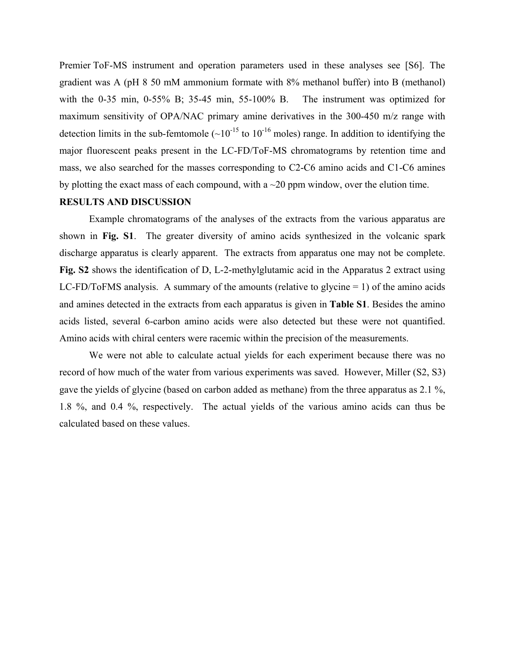Premier ToF-MS instrument and operation parameters used in these analyses see [S6]. The gradient was A (pH 8 50 mM ammonium formate with 8% methanol buffer) into B (methanol) with the 0-35 min, 0-55% B; 35-45 min, 55-100% B. The instrument was optimized for maximum sensitivity of OPA/NAC primary amine derivatives in the 300-450 m/z range with detection limits in the sub-femtomole  $({\sim}10^{-15}$  to  $10^{-16}$  moles) range. In addition to identifying the major fluorescent peaks present in the LC-FD/ToF-MS chromatograms by retention time and mass, we also searched for the masses corresponding to C2-C6 amino acids and C1-C6 amines by plotting the exact mass of each compound, with a  $\sim$ 20 ppm window, over the elution time.

#### **RESULTS AND DISCUSSION**

 Example chromatograms of the analyses of the extracts from the various apparatus are shown in **Fig. S1**. The greater diversity of amino acids synthesized in the volcanic spark discharge apparatus is clearly apparent. The extracts from apparatus one may not be complete. **Fig. S2** shows the identification of D, L-2-methylglutamic acid in the Apparatus 2 extract using LC-FD/ToFMS analysis. A summary of the amounts (relative to glycine  $= 1$ ) of the amino acids and amines detected in the extracts from each apparatus is given in **Table S1**. Besides the amino acids listed, several 6-carbon amino acids were also detected but these were not quantified. Amino acids with chiral centers were racemic within the precision of the measurements.

We were not able to calculate actual yields for each experiment because there was no record of how much of the water from various experiments was saved. However, Miller (S2, S3) gave the yields of glycine (based on carbon added as methane) from the three apparatus as 2.1 %, 1.8 %, and 0.4 %, respectively. The actual yields of the various amino acids can thus be calculated based on these values.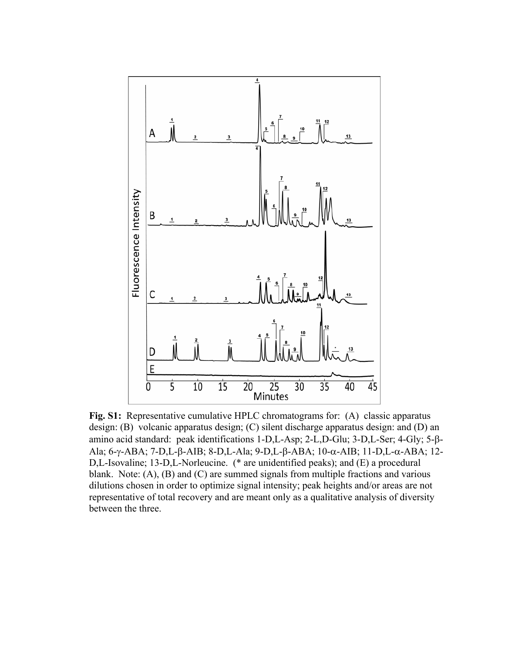

**Fig. S1:** Representative cumulative HPLC chromatograms for: (A) classic apparatus design: (B) volcanic apparatus design; (C) silent discharge apparatus design: and (D) an amino acid standard: peak identifications  $1-D$ ,  $L$ -Asp;  $2-L$ ,  $D$ -Glu;  $3-D$ ,  $L$ -Ser;  $4$ -Gly;  $5-\beta$ -Ala; 6-y-ABA; 7-D,L- $\beta$ -AIB; 8-D,L-Ala; 9-D,L- $\beta$ -ABA; 10- $\alpha$ -AIB; 11-D,L- $\alpha$ -ABA; 12-D,L-Isovaline; 13-D,L-Norleucine. (\* are unidentified peaks); and (E) a procedural blank. Note: (A), (B) and (C) are summed signals from multiple fractions and various dilutions chosen in order to optimize signal intensity; peak heights and/or areas are not representative of total recovery and are meant only as a qualitative analysis of diversity between the three.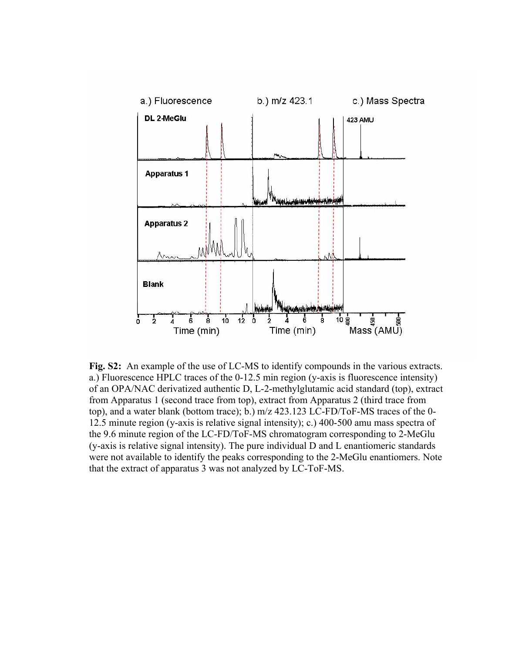

**Fig. S2:** An example of the use of LC-MS to identify compounds in the various extracts. a.) Fluorescence HPLC traces of the 0-12.5 min region (y-axis is fluorescence intensity) of an OPA/NAC derivatized authentic D, L-2-methylglutamic acid standard (top), extract from Apparatus 1 (second trace from top), extract from Apparatus 2 (third trace from top), and a water blank (bottom trace); b.) m/z 423.123 LC-FD/ToF-MS traces of the 0- 12.5 minute region (y-axis is relative signal intensity); c.) 400-500 amu mass spectra of the 9.6 minute region of the LC-FD/ToF-MS chromatogram corresponding to 2-MeGlu (y-axis is relative signal intensity). The pure individual D and L enantiomeric standards were not available to identify the peaks corresponding to the 2-MeGlu enantiomers. Note that the extract of apparatus 3 was not analyzed by LC-ToF-MS.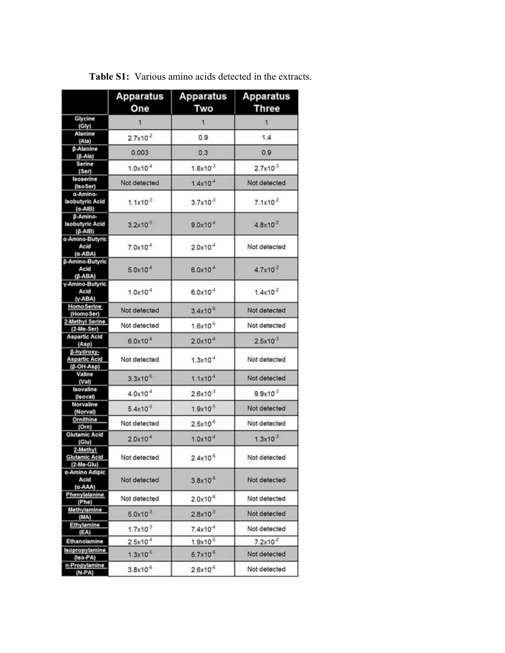|                                                         | <b>Apparatus</b><br>One | <b>Apparatus</b><br>Two | <b>Apparatus</b><br>Three |
|---------------------------------------------------------|-------------------------|-------------------------|---------------------------|
| Glycine<br>(Gly)                                        |                         | 1                       | $\mathbf{1}$              |
| Alanine<br>(Ala)                                        | $2.7x10^{-2}$           | 0.9                     | 1.4                       |
| β-Alanine<br>(ß-Ala)                                    | 0.003                   | 0.3                     | 0.9                       |
| Serine<br>(Ser)                                         | $1.0x10^{-4}$           | $1.6x10^{-3}$           | $2.7x10^{-3}$             |
| Isoserine<br>(IsoSer)                                   | Not detected            | $1.4x10^{-4}$           | Not detected              |
| a-Amino-<br><b>Isobutyric Acid</b><br>$(\alpha$ -AIB)   | $1.1x10^{-3}$           | $3.7x10^{-3}$           | $7.1x10^{-2}$             |
| <b>B-Amino-</b><br><b>Isobutyric Acid</b><br>$(B- AIB)$ | $3.2x10^{-5}$           | $9.0x10^{-4}$           | $4.8x10^{2}$              |
| a-Amino-Butyric<br>Acid<br>(a-ABA)                      | $7.0x10^{-4}$           | $2.0x10^{-4}$           | Not detected              |
| <b>B-Amino-Butyric</b><br>Acid<br>(B-ABA)               | $5.0x10^{-4}$           | $6.0x10^{-4}$           | $4.7x10^{-2}$             |
| y-Amino-Butyric<br>Acid<br>(y-ABA)                      | $1.0x10^{-4}$           | $6.0x10^{-4}$           | $1.4x10^{-2}$             |
| <b>HomoSerine</b><br>(HomoSer)                          | Not detected            | $3.4x10^{-6}$           | Not detected              |
| 2-Methyl Serine<br>(2-Me-Ser)                           | Not detected            | $1.6x10^{-5}$           | Not detected              |
| <b>Aspartic Acid</b><br>(Asp)                           | $6.0x10^{-4}$           | $2.0x10^{-4}$           | $2.5x10^{-3}$             |
| B-hydroxy-<br><b>Aspartic Acid</b><br>(B-OH-Asp)        | Not detected            | $1.3x10^{-4}$           | Not detected              |
| Valine<br>(Val)                                         | $3.3x10^{-5}$           | $1.1x10-4$              | Not detected              |
| Isovaline<br>(Isoval)                                   | $4.0x10^{-4}$           | $2.6x10^{-3}$           | $9.9x10^{-3}$             |
| Norvaline<br>(Norval)                                   | $5.4x10^{-5}$           | $1.9x10^{-5}$           | Not detected              |
| Ornithine<br>(Orn)                                      | Not detected            | $2.5x10^{-6}$           | Not detected              |
| <b>Glutamic Acid</b><br>(G u)                           | $2.0x10^{-4}$           | $1.0x10-4$              | $1.3x10^{-3}$             |
| 2-Methyl<br><b>Glutamic Acid</b><br>$(2-Me-Glu)$        | Not detected            | $2.4x10^{-6}$           | Not detected              |
| a-Amino Adipic<br>Acid<br>(a-AAA)                       | Not detected            | $3.8x10^{-6}$           | Not detected              |
| Phenylalanine<br>(Phe)                                  | Not detected            | $2.0x10^{-6}$           | Not detected              |
| <b>Methylamine</b><br>(MA)                              | $5.0x10^{-3}$           | $2.8x10^{-3}$           | Not detected              |
| Ethylamine<br>(EA)                                      | $1.7x10^{-3}$           | $7.4x10$ <sup>4</sup>   | Not detected              |
| Ethanolamine                                            | $2.5x10^{-4}$           | $1.9x10^{-5}$           | $7.2x10^{-2}$             |
| Isopropylamine<br>(Iso-PA)                              | $1.3x10^{-5}$           | $5.7x10^{-6}$           | Not detected              |
| n-Propylamine<br>$(N-PA)$                               | $3.8x10^{-6}$           | $2.6x10^{-6}$           | Not detected              |

**Table S1:** Various amino acids detected in the extracts.